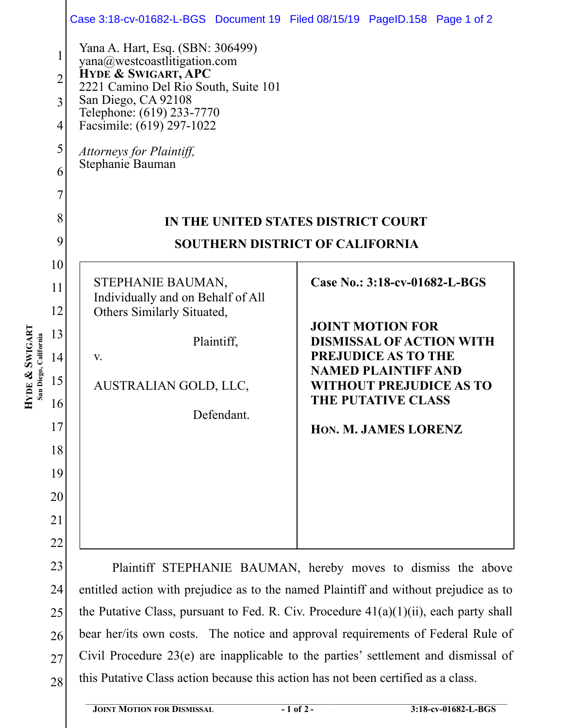|                                            |                | Case 3:18-cv-01682-L-BGS Document 19 Filed 08/15/19 PageID.158 Page 1 of 2               |                                                               |  |
|--------------------------------------------|----------------|------------------------------------------------------------------------------------------|---------------------------------------------------------------|--|
| HYDE & SWIGARI<br>California<br>San Diego, | $\mathbf{1}$   | Yana A. Hart, Esq. (SBN: 306499)<br>yana@westcoastlitigation.com                         |                                                               |  |
|                                            | $\overline{c}$ | HYDE & SWIGART, APC<br>2221 Camino Del Rio South, Suite 101                              |                                                               |  |
|                                            | 3              | San Diego, CA 92108                                                                      |                                                               |  |
|                                            | 4              | Telephone: (619) 233-7770<br>Facsimile: (619) 297-1022                                   |                                                               |  |
|                                            | 5              | Attorneys for Plaintiff,                                                                 |                                                               |  |
|                                            | 6              | Stephanie Bauman                                                                         |                                                               |  |
|                                            | 7              |                                                                                          |                                                               |  |
|                                            | 8              | IN THE UNITED STATES DISTRICT COURT                                                      |                                                               |  |
|                                            | 9              | <b>SOUTHERN DISTRICT OF CALIFORNIA</b>                                                   |                                                               |  |
|                                            | 10             |                                                                                          |                                                               |  |
|                                            | 11             | STEPHANIE BAUMAN,                                                                        | Case No.: 3:18-cv-01682-L-BGS                                 |  |
|                                            | 12             | Individually and on Behalf of All<br>Others Similarly Situated,                          |                                                               |  |
|                                            | 13             | Plaintiff,                                                                               | <b>JOINT MOTION FOR</b><br><b>DISMISSAL OF ACTION WITH</b>    |  |
|                                            | 14             | V.                                                                                       | PREJUDICE AS TO THE                                           |  |
|                                            | 15             | AUSTRALIAN GOLD, LLC,                                                                    | <b>NAMED PLAINTIFF AND</b><br><b>WITHOUT PREJUDICE AS TO</b>  |  |
|                                            | 16             |                                                                                          | <b>THE PUTATIVE CLASS</b>                                     |  |
|                                            | 17             | Defendant.                                                                               | HON. M. JAMES LORENZ                                          |  |
|                                            | 18             |                                                                                          |                                                               |  |
|                                            | 19             |                                                                                          |                                                               |  |
|                                            | 20             |                                                                                          |                                                               |  |
|                                            | 21             |                                                                                          |                                                               |  |
|                                            | 22             |                                                                                          |                                                               |  |
|                                            | 23             |                                                                                          | Plaintiff STEPHANIE BAUMAN, hereby moves to dismiss the above |  |
|                                            | 24             | entitled action with prejudice as to the named Plaintiff and without prejudice as to     |                                                               |  |
|                                            | 25             | the Putative Class, pursuant to Fed. R. Civ. Procedure $41(a)(1)(ii)$ , each party shall |                                                               |  |
|                                            | 26             | bear her/its own costs. The notice and approval requirements of Federal Rule of          |                                                               |  |
|                                            | 27             | Civil Procedure $23(e)$ are inapplicable to the parties' settlement and dismissal of     |                                                               |  |

28 this Putative Class action because this action has not been certified as a class.

27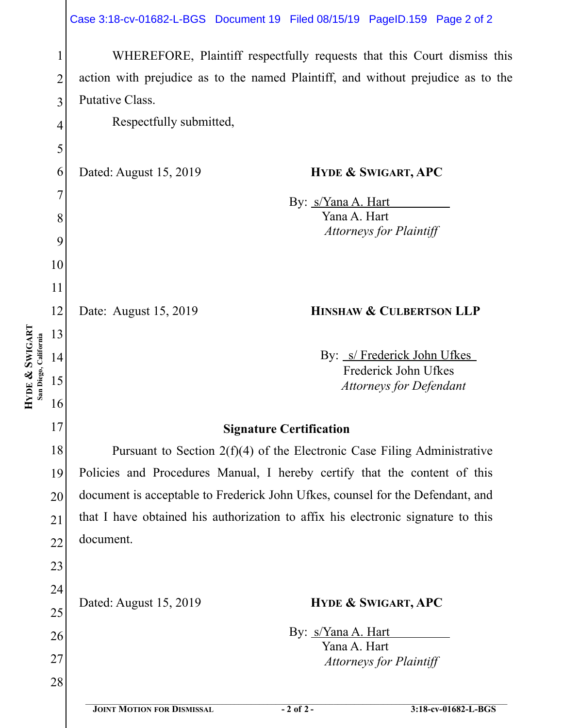|                                         |                | Case 3:18-cv-01682-L-BGS Document 19 Filed 08/15/19 PageID.159 Page 2 of 2       |  |
|-----------------------------------------|----------------|----------------------------------------------------------------------------------|--|
|                                         | 1              | WHEREFORE, Plaintiff respectfully requests that this Court dismiss this          |  |
|                                         | $\overline{2}$ | action with prejudice as to the named Plaintiff, and without prejudice as to the |  |
|                                         | 3              | Putative Class.                                                                  |  |
|                                         | $\overline{4}$ | Respectfully submitted,                                                          |  |
|                                         | 5              |                                                                                  |  |
|                                         | 6              | Dated: August 15, 2019<br><b>HYDE &amp; SWIGART, APC</b>                         |  |
|                                         | 7              | By: <i>s/Yana A. Hart</i>                                                        |  |
|                                         | 8              | Yana A. Hart                                                                     |  |
|                                         | 9              | <b>Attorneys for Plaintiff</b>                                                   |  |
|                                         | 10             |                                                                                  |  |
|                                         | 11             |                                                                                  |  |
|                                         | 12             | HINSHAW & CULBERTSON LLP<br>Date: August 15, 2019                                |  |
|                                         | 13             |                                                                                  |  |
|                                         | 14             | By: <i>s/Frederick John Ufkes</i>                                                |  |
| HYDE & SWIGART<br>San Diego, California | 15             | Frederick John Ufkes<br><b>Attorneys for Defendant</b>                           |  |
|                                         | 16             |                                                                                  |  |
|                                         | 17             | <b>Signature Certification</b>                                                   |  |
|                                         | 18             | Pursuant to Section $2(f)(4)$ of the Electronic Case Filing Administrative       |  |
|                                         | 19             | Policies and Procedures Manual, I hereby certify that the content of this        |  |
|                                         | 20             | document is acceptable to Frederick John Ufkes, counsel for the Defendant, and   |  |
|                                         | 21             | that I have obtained his authorization to affix his electronic signature to this |  |
|                                         | 22             | document.                                                                        |  |
|                                         | 23             |                                                                                  |  |
|                                         | 24             |                                                                                  |  |
|                                         | 25             | Dated: August 15, 2019<br><b>HYDE &amp; SWIGART, APC</b>                         |  |
|                                         | 26             | By: <i>s/Yana A. Hart</i>                                                        |  |
|                                         | 27             | Yana A. Hart<br><b>Attorneys for Plaintiff</b>                                   |  |
|                                         | 28             |                                                                                  |  |
|                                         |                | <b>JOINT MOTION FOR DISMISSAL</b><br>$-2$ of 2 -<br>3:18-cv-01682-L-BGS          |  |